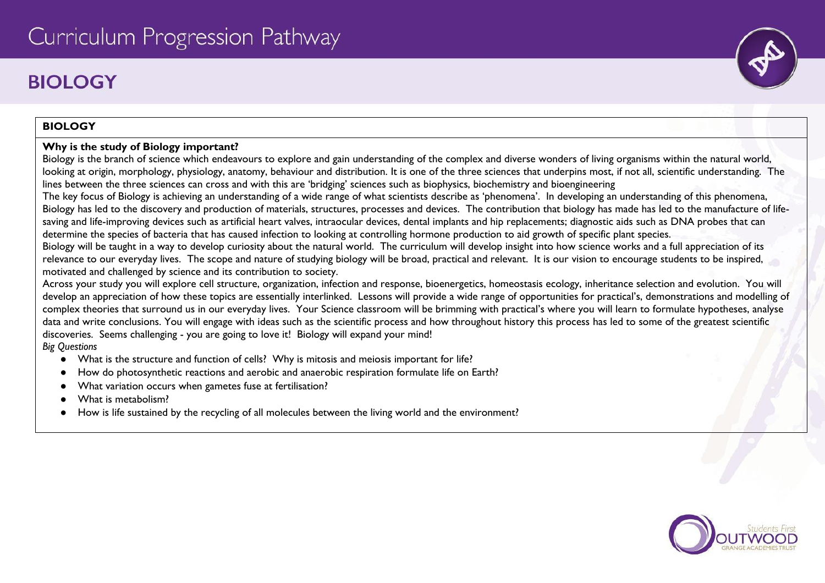# **BIOLOGY**

# **BIOLOGY**

### **Why is the study of Biology important?**

Biology is the branch of science which endeavours to explore and gain understanding of the complex and diverse wonders of living organisms within the natural world, looking at origin, morphology, physiology, anatomy, behaviour and distribution. It is one of the three sciences that underpins most, if not all, scientific understanding. The lines between the three sciences can cross and with this are 'bridging' sciences such as biophysics, biochemistry and bioengineering

The key focus of Biology is achieving an understanding of a wide range of what scientists describe as 'phenomena'. In developing an understanding of this phenomena, Biology has led to the discovery and production of materials, structures, processes and devices. The contribution that biology has made has led to the manufacture of lifesaving and life-improving devices such as artificial heart valves, intraocular devices, dental implants and hip replacements; diagnostic aids such as DNA probes that can determine the species of bacteria that has caused infection to looking at controlling hormone production to aid growth of specific plant species.

Biology will be taught in a way to develop curiosity about the natural world. The curriculum will develop insight into how science works and a full appreciation of its relevance to our everyday lives. The scope and nature of studying biology will be broad, practical and relevant. It is our vision to encourage students to be inspired, motivated and challenged by science and its contribution to society.

Across your study you will explore cell structure, organization, infection and response, bioenergetics, homeostasis ecology, inheritance selection and evolution. You will develop an appreciation of how these topics are essentially interlinked. Lessons will provide a wide range of opportunities for practical's, demonstrations and modelling of complex theories that surround us in our everyday lives. Your Science classroom will be brimming with practical's where you will learn to formulate hypotheses, analyse data and write conclusions. You will engage with ideas such as the scientific process and how throughout history this process has led to some of the greatest scientific discoveries. Seems challenging - you are going to love it! Biology will expand your mind!

*Big Questions*

- What is the structure and function of cells? Why is mitosis and meiosis important for life?
- How do photosynthetic reactions and aerobic and anaerobic respiration formulate life on Earth?
- What variation occurs when gametes fuse at fertilisation?
- What is metabolism?
- How is life sustained by the recycling of all molecules between the living world and the environment?

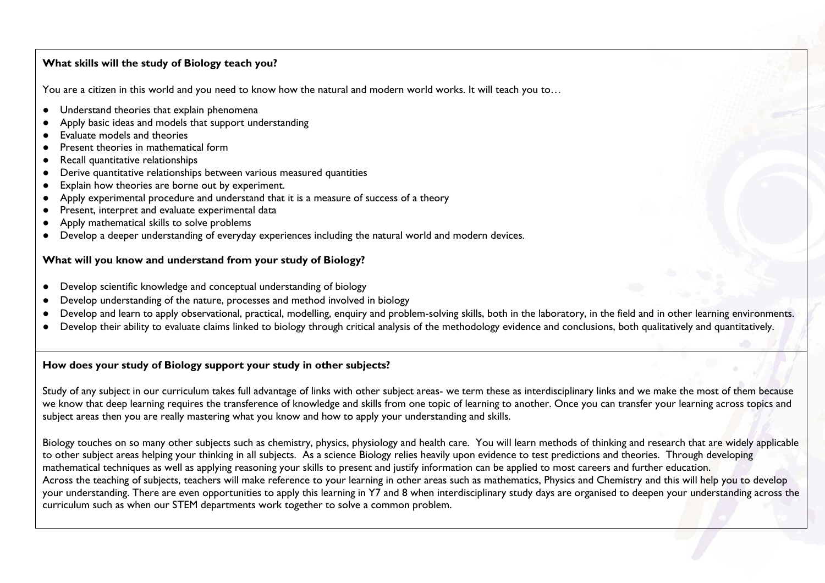#### **What skills will the study of Biology teach you?**

You are a citizen in this world and you need to know how the natural and modern world works. It will teach you to...

- Understand theories that explain phenomena
- Apply basic ideas and models that support understanding
- Evaluate models and theories
- Present theories in mathematical form
- Recall quantitative relationships
- Derive quantitative relationships between various measured quantities
- Explain how theories are borne out by experiment.
- Apply experimental procedure and understand that it is a measure of success of a theory
- Present, interpret and evaluate experimental data
- Apply mathematical skills to solve problems
- Develop a deeper understanding of everyday experiences including the natural world and modern devices.

### **What will you know and understand from your study of Biology?**

- Develop scientific knowledge and conceptual understanding of biology
- Develop understanding of the nature, processes and method involved in biology
- Develop and learn to apply observational, practical, modelling, enquiry and problem-solving skills, both in the laboratory, in the field and in other learning environments.
- Develop their ability to evaluate claims linked to biology through critical analysis of the methodology evidence and conclusions, both qualitatively and quantitatively.

### **How does your study of Biology support your study in other subjects?**

Study of any subject in our curriculum takes full advantage of links with other subject areas- we term these as interdisciplinary links and we make the most of them because we know that deep learning requires the transference of knowledge and skills from one topic of learning to another. Once you can transfer your learning across topics and subject areas then you are really mastering what you know and how to apply your understanding and skills.

Biology touches on so many other subjects such as chemistry, physics, physiology and health care. You will learn methods of thinking and research that are widely applicable to other subject areas helping your thinking in all subjects. As a science Biology relies heavily upon evidence to test predictions and theories. Through developing mathematical techniques as well as applying reasoning your skills to present and justify information can be applied to most careers and further education. Across the teaching of subjects, teachers will make reference to your learning in other areas such as mathematics, Physics and Chemistry and this will help you to develop your understanding. There are even opportunities to apply this learning in Y7 and 8 when interdisciplinary study days are organised to deepen your understanding across the curriculum such as when our STEM departments work together to solve a common problem.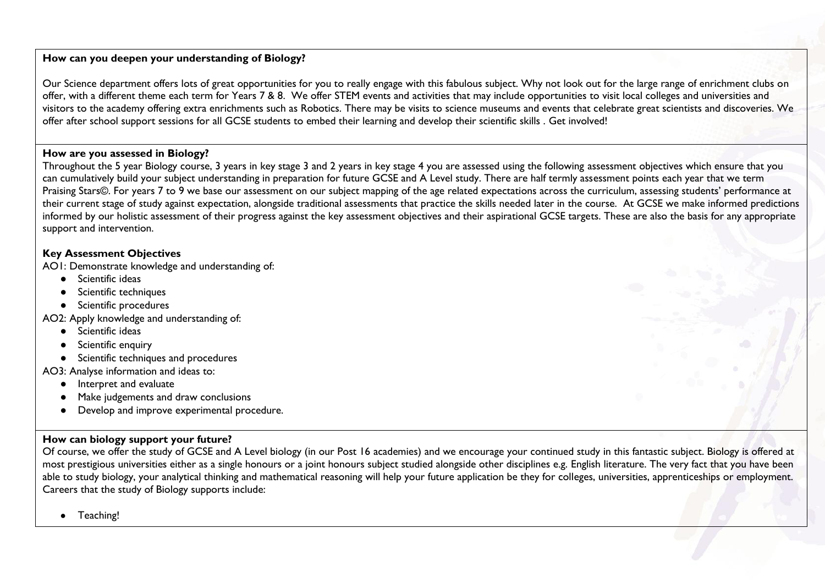### **How can you deepen your understanding of Biology?**

Our Science department offers lots of great opportunities for you to really engage with this fabulous subject. Why not look out for the large range of enrichment clubs on offer, with a different theme each term for Years 7 & 8. We offer STEM events and activities that may include opportunities to visit local colleges and universities and visitors to the academy offering extra enrichments such as Robotics. There may be visits to science museums and events that celebrate great scientists and discoveries. We offer after school support sessions for all GCSE students to embed their learning and develop their scientific skills . Get involved!

#### **How are you assessed in Biology?**

Throughout the 5 year Biology course, 3 years in key stage 3 and 2 years in key stage 4 you are assessed using the following assessment objectives which ensure that you can cumulatively build your subject understanding in preparation for future GCSE and A Level study. There are half termly assessment points each year that we term Praising Stars©. For years 7 to 9 we base our assessment on our subject mapping of the age related expectations across the curriculum, assessing students' performance at their current stage of study against expectation, alongside traditional assessments that practice the skills needed later in the course. At GCSE we make informed predictions informed by our holistic assessment of their progress against the key assessment objectives and their aspirational GCSE targets. These are also the basis for any appropriate support and intervention.

# **Key Assessment Objectives**

AO1: Demonstrate knowledge and understanding of:

- Scientific ideas
- Scientific techniques
- Scientific procedures

AO2: Apply knowledge and understanding of:

- Scientific ideas
- Scientific enquiry
- Scientific techniques and procedures

AO3: Analyse information and ideas to:

- Interpret and evaluate
- Make judgements and draw conclusions
- Develop and improve experimental procedure.

# **How can biology support your future?**

Of course, we offer the study of GCSE and A Level biology (in our Post 16 academies) and we encourage your continued study in this fantastic subject. Biology is offered at most prestigious universities either as a single honours or a joint honours subject studied alongside other disciplines e.g. English literature. The very fact that you have been able to study biology, your analytical thinking and mathematical reasoning will help your future application be they for colleges, universities, apprenticeships or employment. Careers that the study of Biology supports include:

● Teaching!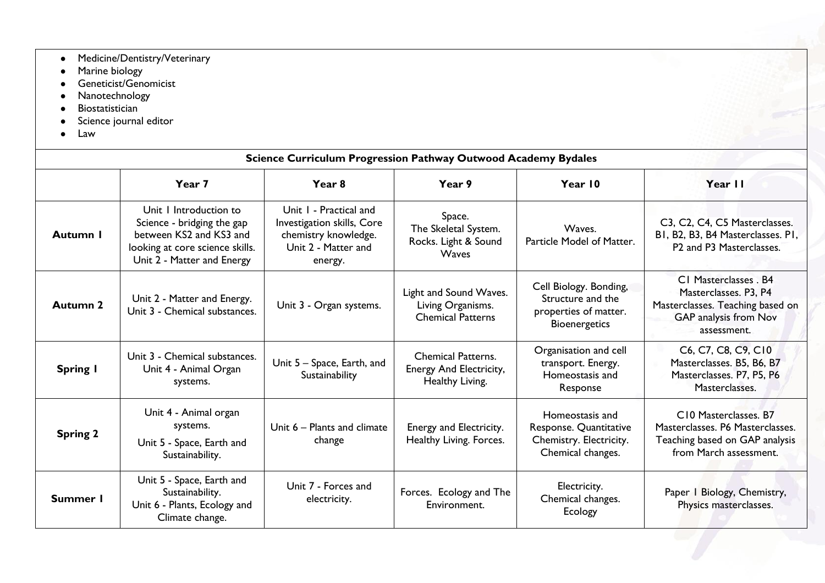- Medicine/Dentistry/Veterinary
- Marine biology
- **•** Geneticist/Genomicist
- Nanotechnology
- Biostatistician
- Science journal editor
- Law

| <b>Science Curriculum Progression Pathway Outwood Academy Bydales</b> |                                                                                                                                                  |                                                                                                                |                                                                         |                                                                                              |                                                                                                                            |  |  |
|-----------------------------------------------------------------------|--------------------------------------------------------------------------------------------------------------------------------------------------|----------------------------------------------------------------------------------------------------------------|-------------------------------------------------------------------------|----------------------------------------------------------------------------------------------|----------------------------------------------------------------------------------------------------------------------------|--|--|
|                                                                       | Year 7                                                                                                                                           | Year <sub>8</sub>                                                                                              | Year 9                                                                  | Year 10                                                                                      | Year II                                                                                                                    |  |  |
| Autumn I                                                              | Unit 1 Introduction to<br>Science - bridging the gap<br>between KS2 and KS3 and<br>looking at core science skills.<br>Unit 2 - Matter and Energy | Unit 1 - Practical and<br>Investigation skills, Core<br>chemistry knowledge.<br>Unit 2 - Matter and<br>energy. | Space.<br>The Skeletal System.<br>Rocks. Light & Sound<br><b>Waves</b>  | Waves.<br>Particle Model of Matter.                                                          | C3, C2, C4, C5 Masterclasses.<br>BI, B2, B3, B4 Masterclasses. PI,<br>P2 and P3 Masterclasses.                             |  |  |
| <b>Autumn 2</b>                                                       | Unit 2 - Matter and Energy.<br>Unit 3 - Chemical substances.                                                                                     | Unit 3 - Organ systems.                                                                                        | Light and Sound Waves.<br>Living Organisms.<br><b>Chemical Patterns</b> | Cell Biology. Bonding,<br>Structure and the<br>properties of matter.<br><b>Bioenergetics</b> | C1 Masterclasses . B4<br>Masterclasses. P3, P4<br>Masterclasses. Teaching based on<br>GAP analysis from Nov<br>assessment. |  |  |
| <b>Spring I</b>                                                       | Unit 3 - Chemical substances.<br>Unit 4 - Animal Organ<br>systems.                                                                               | Unit 5 - Space, Earth, and<br>Sustainability                                                                   | <b>Chemical Patterns.</b><br>Energy And Electricity,<br>Healthy Living. | Organisation and cell<br>transport. Energy.<br>Homeostasis and<br>Response                   | C6, C7, C8, C9, C10<br>Masterclasses. B5, B6, B7<br>Masterclasses. P7, P5, P6<br>Masterclasses.                            |  |  |
| <b>Spring 2</b>                                                       | Unit 4 - Animal organ<br>systems.<br>Unit 5 - Space, Earth and<br>Sustainability.                                                                | Unit 6 – Plants and climate<br>change                                                                          | Energy and Electricity.<br>Healthy Living. Forces.                      | Homeostasis and<br>Response. Quantitative<br>Chemistry. Electricity.<br>Chemical changes.    | C10 Masterclasses. B7<br>Masterclasses. P6 Masterclasses.<br>Teaching based on GAP analysis<br>from March assessment.      |  |  |
| Summer I                                                              | Unit 5 - Space, Earth and<br>Sustainability.<br>Unit 6 - Plants, Ecology and<br>Climate change.                                                  | Unit 7 - Forces and<br>electricity.                                                                            | Forces. Ecology and The<br>Environment.                                 | Electricity.<br>Chemical changes.<br>Ecology                                                 | Paper I Biology, Chemistry,<br>Physics masterclasses.                                                                      |  |  |